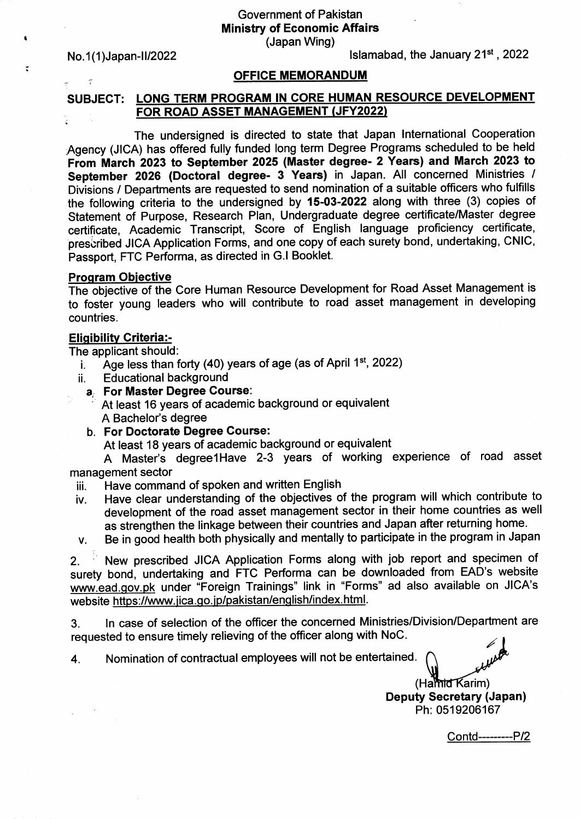Government of Pakistan Ministry of Economic Affairs (Japan Wing)

No.1(1)Japan-II/2022

 $\tau$ 

1

÷.

lslamabad, the January 21st ,2022

# **OFFICE MEMORANDUM**

#### SUBJECT: LONG TERM PROGRAM IN GORE HUMAN RESOURCE DEVELOPMENT FOR ROAD ASSET MANAGEMENT (JFY2022) r.<br>B

The undersigned is directed to state that Japan International Cooperation Agency (JICA) has offered fully funded long term Degree Programs scheduled to be held From March 2023 to September 2025 (Master degree- 2 Years) and March 2023 to September 2026 (Doctoral degree- 3 Years) in Japan. All concerned Ministries / Divisions / Departments are requested to send nomination of a suitable officers who fulfills the following criteria to the undersigned by 15-03-2022 along with three (3) copies of Statement of Purpose, Research Plan, Undergraduate degree certificate/Master degree certificate, Academic Transcript, Score of English Ianguage proficiency certificate, prescribed JICA Application Forms, and one copy of each surety bond, undertaking, CNIC, Passport, FTC Performa, as directed in G.l Booklet.

## **Program Objective**

countries. The objective of the Core Human Resource Development for Road Asset Management is to foster young leaders who will contribute to road asset management in developing

## Elioibilitv Criteria:-

The applicant should:

- Age less than forty (40) years of age (as of April 1st, 2022)
- i.<br>ii. Educational background
- a. For Master Degree Course: At least 16 years of academic background or equivalent A Bachelor's degree
- b. For Doctorate Degree Course:

At least 18 years of academic background or equivalent

A Master's degreelHave 2-3 years of working experience of road asset management sector

- iii. Have command of spoken and written English<br>iv. Have clear understanding of the objectives o
- Have clear understanding of the objectives of the program will which contribute to development of the road asset management sector in their home countries as well as strengthen the linkage between their countries and Japan after returning home.

v. Be in good health both physically and mentally to participate in the program in Japan

New prescribed JICA Application Forms along with job report and specimen of 2. surety bond, undertaking and FTC Performa can be downloaded from EAD's website www.ead.gov.pk under "Foreign Trainings" link in "Forms" ad also available on JICA's website https://www.jica.go.jp/pakistan/english/index.html.

3. ln case of selection of the officer the concerned Ministries/Division/Department are requested to ensure timely relieving of the officer along with NoC.

4. Nomination of contractual employees will not be entertained.

(Hamid Karim) Deputy Secretary (Japan) Ph: 0519206167

Contd---------P12